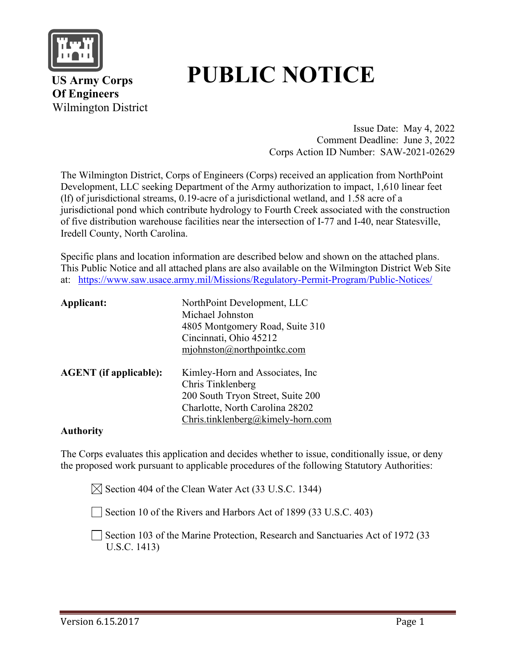

# **PUBLIC NOTICE**

 **US Army Corps Of Engineers** Wilmington District

> Issue Date: May 4, 2022 Comment Deadline: June 3, 2022 Corps Action ID Number: SAW-2021-02629

The Wilmington District, Corps of Engineers (Corps) received an application from NorthPoint Development, LLC seeking Department of the Army authorization to impact, 1,610 linear feet (lf) of jurisdictional streams, 0.19-acre of a jurisdictional wetland, and 1.58 acre of a jurisdictional pond which contribute hydrology to Fourth Creek associated with the construction of five distribution warehouse facilities near the intersection of I-77 and I-40, near Statesville, Iredell County, North Carolina.

Specific plans and location information are described below and shown on the attached plans. This Public Notice and all attached plans are also available on the Wilmington District Web Site at: <https://www.saw.usace.army.mil/Missions/Regulatory-Permit-Program/Public-Notices/>

| Applicant:                    | NorthPoint Development, LLC       |  |  |  |  |
|-------------------------------|-----------------------------------|--|--|--|--|
|                               | Michael Johnston                  |  |  |  |  |
|                               | 4805 Montgomery Road, Suite 310   |  |  |  |  |
|                               | Cincinnati, Ohio 45212            |  |  |  |  |
|                               | $m$ johnston@northpointkc.com     |  |  |  |  |
| <b>AGENT</b> (if applicable): | Kimley-Horn and Associates, Inc.  |  |  |  |  |
|                               | Chris Tinklenberg                 |  |  |  |  |
|                               | 200 South Tryon Street, Suite 200 |  |  |  |  |
|                               | Charlotte, North Carolina 28202   |  |  |  |  |
|                               | Chris.tinklenberg@kimely-horn.com |  |  |  |  |

#### **Authority**

The Corps evaluates this application and decides whether to issue, conditionally issue, or deny the proposed work pursuant to applicable procedures of the following Statutory Authorities:

 $\boxtimes$  Section 404 of the Clean Water Act (33 U.S.C. 1344)

Section 10 of the Rivers and Harbors Act of 1899 (33 U.S.C. 403)

Section 103 of the Marine Protection, Research and Sanctuaries Act of 1972 (33 U.S.C. 1413)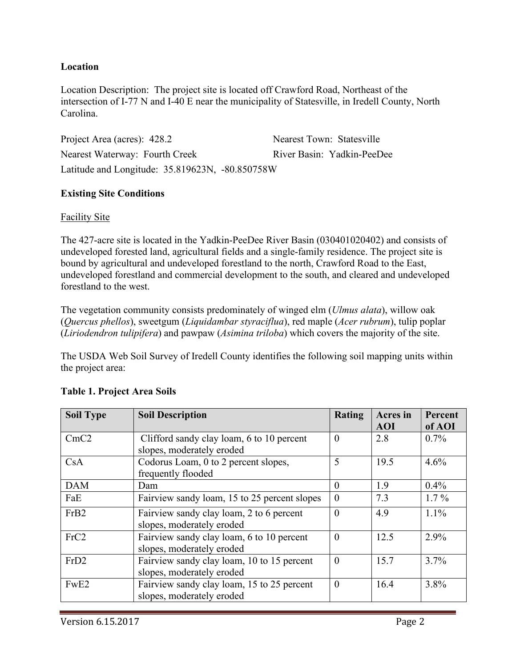#### **Location**

Location Description: The project site is located off Crawford Road, Northeast of the intersection of I-77 N and I-40 E near the municipality of Statesville, in Iredell County, North Carolina.

Project Area (acres): 428.2 Nearest Town: Statesville Nearest Waterway: Fourth Creek River Basin: Yadkin-PeeDee Latitude and Longitude: 35.819623N, -80.850758W

#### **Existing Site Conditions**

#### Facility Site

The 427-acre site is located in the Yadkin-PeeDee River Basin (030401020402) and consists of undeveloped forested land, agricultural fields and a single-family residence. The project site is bound by agricultural and undeveloped forestland to the north, Crawford Road to the East, undeveloped forestland and commercial development to the south, and cleared and undeveloped forestland to the west.

The vegetation community consists predominately of winged elm (*Ulmus alata*), willow oak (*Quercus phellos*), sweetgum (*Liquidambar styraciflua*), red maple (*Acer rubrum*), tulip poplar (*Liriodendron tulipifera*) and pawpaw (*Asimina triloba*) which covers the majority of the site.

The USDA Web Soil Survey of Iredell County identifies the following soil mapping units within the project area:

| <b>Soil Type</b> | <b>Soil Description</b>                      | Rating   | <b>Acres</b> in | Percent |
|------------------|----------------------------------------------|----------|-----------------|---------|
|                  |                                              |          | <b>AOI</b>      | of AOI  |
| CmC2             | Clifford sandy clay loam, 6 to 10 percent    | $\Omega$ | 2.8             | $0.7\%$ |
|                  | slopes, moderately eroded                    |          |                 |         |
| CsA              | Codorus Loam, 0 to 2 percent slopes,         | 5        | 19.5            | 4.6%    |
|                  | frequently flooded                           |          |                 |         |
| <b>DAM</b>       | Dam                                          | $\theta$ | 1.9             | 0.4%    |
| FaE              | Fairview sandy loam, 15 to 25 percent slopes | $\theta$ | 7.3             | $1.7\%$ |
| FrB <sub>2</sub> | Fairview sandy clay loam, 2 to 6 percent     | $\Omega$ | 4.9             | $1.1\%$ |
|                  | slopes, moderately eroded                    |          |                 |         |
| FrC2             | Fairview sandy clay loam, 6 to 10 percent    | $\Omega$ | 12.5            | 2.9%    |
|                  | slopes, moderately eroded                    |          |                 |         |
| FrD <sub>2</sub> | Fairview sandy clay loam, 10 to 15 percent   | $\Omega$ | 15.7            | 3.7%    |
|                  | slopes, moderately eroded                    |          |                 |         |
| FwE <sub>2</sub> | Fairview sandy clay loam, 15 to 25 percent   | $\Omega$ | 16.4            | 3.8%    |
|                  | slopes, moderately eroded                    |          |                 |         |

#### **Table 1. Project Area Soils**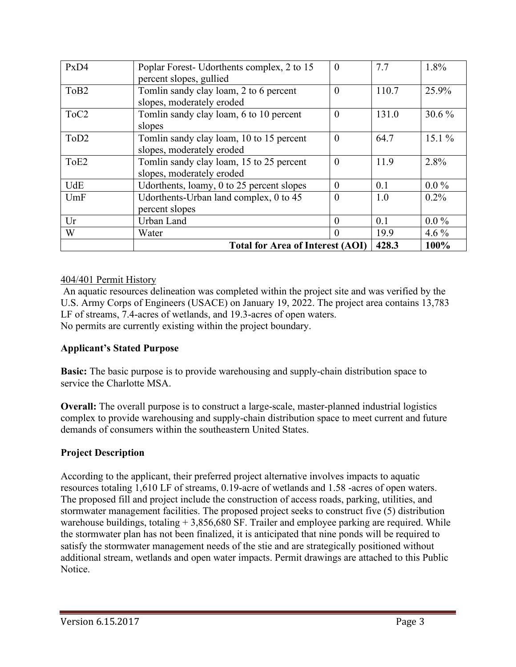| PxD4             | Poplar Forest- Udorthents complex, 2 to 15<br>percent slopes, gullied | $\theta$ | 7.7   | 1.8%     |
|------------------|-----------------------------------------------------------------------|----------|-------|----------|
|                  |                                                                       |          |       |          |
| To <sub>B2</sub> | Tomlin sandy clay loam, 2 to 6 percent                                | $\theta$ | 110.7 | 25.9%    |
|                  | slopes, moderately eroded                                             |          |       |          |
| ToC <sub>2</sub> | Tomlin sandy clay loam, 6 to 10 percent                               | $\Omega$ | 131.0 | $30.6\%$ |
|                  | slopes                                                                |          |       |          |
| ToD <sub>2</sub> | Tomlin sandy clay loam, 10 to 15 percent                              | $\Omega$ | 64.7  | $15.1\%$ |
|                  | slopes, moderately eroded                                             |          |       |          |
| ToE2             | Tomlin sandy clay loam, 15 to 25 percent                              | $\Omega$ | 11.9  | 2.8%     |
|                  | slopes, moderately eroded                                             |          |       |          |
| <b>UdE</b>       | Udorthents, loamy, 0 to 25 percent slopes                             | $\Omega$ | 0.1   | $0.0\%$  |
| UmF              | Udorthents-Urban land complex, 0 to 45                                | $\theta$ | 1.0   | $0.2\%$  |
|                  | percent slopes                                                        |          |       |          |
| Ur               | Urban Land                                                            | $\Omega$ | 0.1   | $0.0\%$  |
| W                | Water                                                                 | $\Omega$ | 19.9  | 4.6 $%$  |
|                  | <b>Total for Area of Interest (AOI)</b>                               | 428.3    | 100%  |          |

## 404/401 Permit History

 An aquatic resources delineation was completed within the project site and was verified by the U.S. Army Corps of Engineers (USACE) on January 19, 2022. The project area contains 13,783 LF of streams, 7.4-acres of wetlands, and 19.3-acres of open waters. No permits are currently existing within the project boundary.

## **Applicant's Stated Purpose**

**Basic:** The basic purpose is to provide warehousing and supply-chain distribution space to service the Charlotte MSA.

**Overall:** The overall purpose is to construct a large-scale, master-planned industrial logistics complex to provide warehousing and supply-chain distribution space to meet current and future demands of consumers within the southeastern United States.

## **Project Description**

According to the applicant, their preferred project alternative involves impacts to aquatic resources totaling 1,610 LF of streams, 0.19-acre of wetlands and 1.58 -acres of open waters. The proposed fill and project include the construction of access roads, parking, utilities, and stormwater management facilities. The proposed project seeks to construct five (5) distribution warehouse buildings, totaling + 3,856,680 SF. Trailer and employee parking are required. While the stormwater plan has not been finalized, it is anticipated that nine ponds will be required to satisfy the stormwater management needs of the stie and are strategically positioned without additional stream, wetlands and open water impacts. Permit drawings are attached to this Public Notice.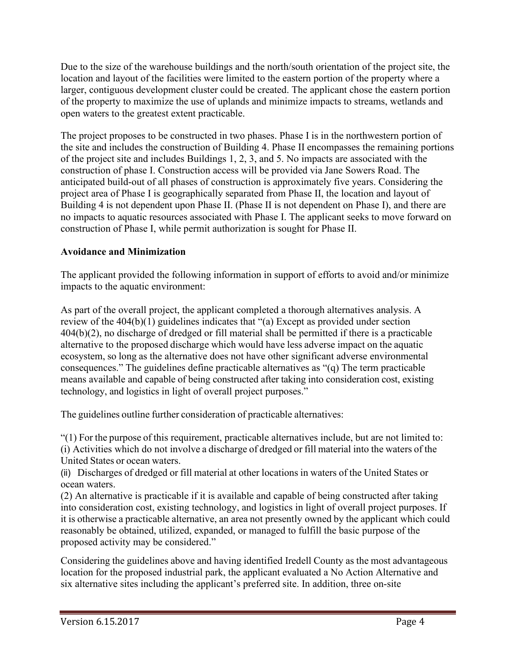Due to the size of the warehouse buildings and the north/south orientation of the project site, the location and layout of the facilities were limited to the eastern portion of the property where a larger, contiguous development cluster could be created. The applicant chose the eastern portion of the property to maximize the use of uplands and minimize impacts to streams, wetlands and open waters to the greatest extent practicable.

The project proposes to be constructed in two phases. Phase I is in the northwestern portion of the site and includes the construction of Building 4. Phase II encompasses the remaining portions of the project site and includes Buildings 1, 2, 3, and 5. No impacts are associated with the construction of phase I. Construction access will be provided via Jane Sowers Road. The anticipated build-out of all phases of construction is approximately five years. Considering the project area of Phase I is geographically separated from Phase II, the location and layout of Building 4 is not dependent upon Phase II. (Phase II is not dependent on Phase I), and there are no impacts to aquatic resources associated with Phase I. The applicant seeks to move forward on construction of Phase I, while permit authorization is sought for Phase II.

# **Avoidance and Minimization**

The applicant provided the following information in support of efforts to avoid and/or minimize impacts to the aquatic environment:

As part of the overall project, the applicant completed a thorough alternatives analysis. A review of the 404(b)(1) guidelines indicates that "(a) Except as provided under section 404(b)(2), no discharge of dredged or fill material shall be permitted if there is a practicable alternative to the proposed discharge which would have less adverse impact on the aquatic ecosystem, so long as the alternative does not have other significant adverse environmental consequences." The guidelines define practicable alternatives as "(q) The term practicable means available and capable of being constructed after taking into consideration cost, existing technology, and logistics in light of overall project purposes."

The guidelines outline further consideration of practicable alternatives:

"(1) For the purpose of this requirement, practicable alternatives include, but are not limited to: (i) Activities which do not involve a discharge of dredged or fill material into the waters of the United States or ocean waters.

(ii) Discharges of dredged or fill material at other locations in waters of the United States or ocean waters.

(2) An alternative is practicable if it is available and capable of being constructed after taking into consideration cost, existing technology, and logistics in light of overall project purposes. If it is otherwise a practicable alternative, an area not presently owned by the applicant which could reasonably be obtained, utilized, expanded, or managed to fulfill the basic purpose of the proposed activity may be considered."

Considering the guidelines above and having identified Iredell County as the most advantageous location for the proposed industrial park, the applicant evaluated a No Action Alternative and six alternative sites including the applicant's preferred site. In addition, three on-site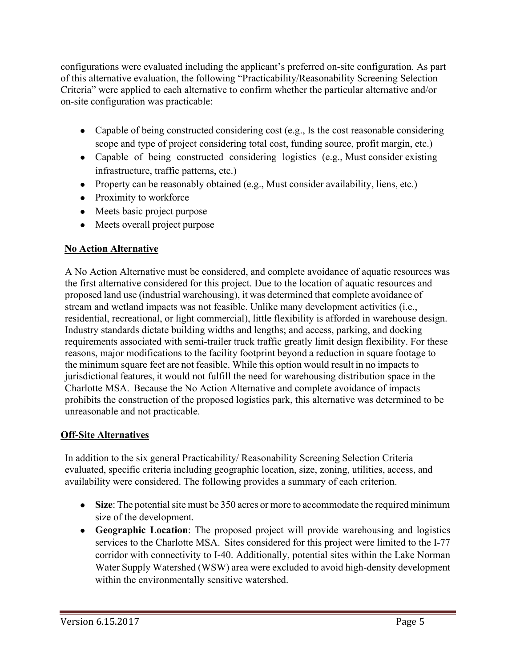configurations were evaluated including the applicant's preferred on-site configuration. As part of this alternative evaluation, the following "Practicability/Reasonability Screening Selection Criteria" were applied to each alternative to confirm whether the particular alternative and/or on-site configuration was practicable:

- Capable of being constructed considering cost (e.g., Is the cost reasonable considering scope and type of project considering total cost, funding source, profit margin, etc.)
- Capable of being constructed considering logistics (e.g., Must consider existing infrastructure, traffic patterns, etc.)
- Property can be reasonably obtained (e.g., Must consider availability, liens, etc.)
- Proximity to workforce
- Meets basic project purpose
- Meets overall project purpose

# **No Action Alternative**

A No Action Alternative must be considered, and complete avoidance of aquatic resources was the first alternative considered for this project. Due to the location of aquatic resources and proposed land use (industrial warehousing), it was determined that complete avoidance of stream and wetland impacts was not feasible. Unlike many development activities (i.e., residential, recreational, or light commercial), little flexibility is afforded in warehouse design. Industry standards dictate building widths and lengths; and access, parking, and docking requirements associated with semi-trailer truck traffic greatly limit design flexibility. For these reasons, major modifications to the facility footprint beyond a reduction in square footage to the minimum square feet are not feasible. While this option would result in no impacts to jurisdictional features, it would not fulfill the need for warehousing distribution space in the Charlotte MSA. Because the No Action Alternative and complete avoidance of impacts prohibits the construction of the proposed logistics park, this alternative was determined to be unreasonable and not practicable.

# **Off-Site Alternatives**

In addition to the six general Practicability/ Reasonability Screening Selection Criteria evaluated, specific criteria including geographic location, size, zoning, utilities, access, and availability were considered. The following provides a summary of each criterion.

- **Size**: The potential site must be 350 acres or more to accommodate the required minimum size of the development.
- **Geographic Location**: The proposed project will provide warehousing and logistics services to the Charlotte MSA. Sites considered for this project were limited to the I-77 corridor with connectivity to I-40. Additionally, potential sites within the Lake Norman Water Supply Watershed (WSW) area were excluded to avoid high-density development within the environmentally sensitive watershed.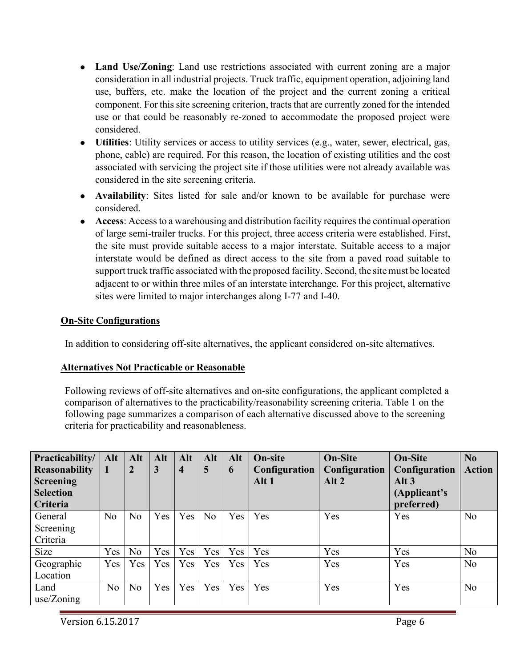- **Land Use/Zoning**: Land use restrictions associated with current zoning are a major consideration in all industrial projects. Truck traffic, equipment operation, adjoining land use, buffers, etc. make the location of the project and the current zoning a critical component. For this site screening criterion, tracts that are currently zoned for the intended use or that could be reasonably re-zoned to accommodate the proposed project were considered.
- **Utilities**: Utility services or access to utility services (e.g., water, sewer, electrical, gas, phone, cable) are required. For this reason, the location of existing utilities and the cost associated with servicing the project site if those utilities were not already available was considered in the site screening criteria.
- **Availability**: Sites listed for sale and/or known to be available for purchase were considered.
- Access: Access to a warehousing and distribution facility requires the continual operation of large semi-trailer trucks. For this project, three access criteria were established. First, the site must provide suitable access to a major interstate. Suitable access to a major interstate would be defined as direct access to the site from a paved road suitable to support truck traffic associated with the proposed facility. Second, the sitemust be located adjacent to or within three miles of an interstate interchange. For this project, alternative sites were limited to major interchanges along I-77 and I-40.

#### **On-Site Configurations**

In addition to considering off-site alternatives, the applicant considered on-site alternatives.

## **Alternatives Not Practicable or Reasonable**

Following reviews of off-site alternatives and on-site configurations, the applicant completed a comparison of alternatives to the practicability/reasonability screening criteria. Table 1 on the following page summarizes a comparison of each alternative discussed above to the screening criteria for practicability and reasonableness.

| Practicability/<br><b>Reasonability</b>                 | Alt<br>$\mathbf 1$ | Alt<br>$\overline{2}$ | Alt<br>$\mathbf{3}$ | Alt<br>$\overline{4}$ | Alt<br>5       | Alt<br>6 | <b>On-site</b><br>Configuration | <b>On-Site</b><br>Configuration | <b>On-Site</b><br>Configuration       | No<br><b>Action</b> |
|---------------------------------------------------------|--------------------|-----------------------|---------------------|-----------------------|----------------|----------|---------------------------------|---------------------------------|---------------------------------------|---------------------|
| <b>Screening</b><br><b>Selection</b><br><b>Criteria</b> |                    |                       |                     |                       |                |          | Alt 1                           | Alt 2                           | Alt $3$<br>(Applicant's<br>preferred) |                     |
| General<br>Screening<br>Criteria                        | N <sub>o</sub>     | N <sub>o</sub>        | Yes                 | Yes                   | N <sub>o</sub> | Yes      | Yes                             | Yes                             | Yes                                   | N <sub>o</sub>      |
| Size                                                    | Yes                | N <sub>o</sub>        | Yes                 | Yes                   | Yes            | Yes      | Yes                             | Yes                             | Yes                                   | No                  |
| Geographic<br>Location                                  | Yes                | Yes                   | <b>Yes</b>          | Yes                   | Yes            | Yes      | Yes                             | Yes                             | Yes                                   | N <sub>o</sub>      |
| Land<br>use/Zoning                                      | No                 | N <sub>o</sub>        | Yes                 | Yes                   | Yes            | Yes      | Yes                             | Yes                             | Yes                                   | N <sub>o</sub>      |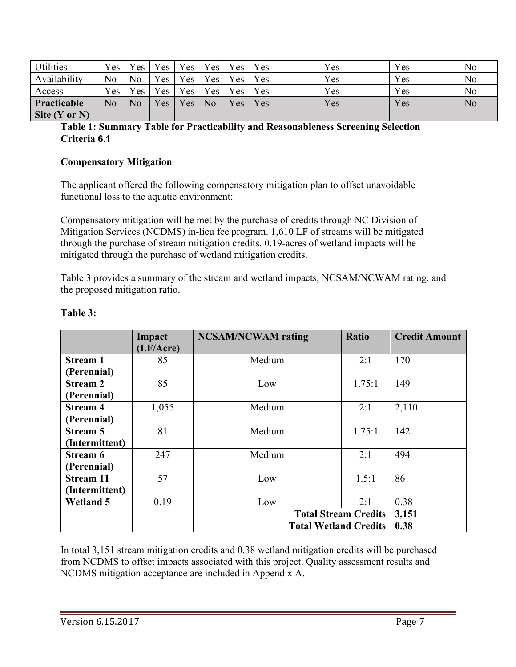| Utilities         | Yes <sub>1</sub> | Yes            | Yes | Yes | Yes            | Yes             | Yes | Yes | Yes | No |
|-------------------|------------------|----------------|-----|-----|----------------|-----------------|-----|-----|-----|----|
| Availability      | No               | N <sub>o</sub> | Yes | Yes | Yes            | Yes             | Yes | Yes | Yes | No |
| Access            | Yes              | Yes            | Yes | Yes | Yes            | Yes             | Yes | Yes | Yes | No |
| Practicable       | No               | No             | Yes | Yes | N <sub>o</sub> | $V_{\text{CS}}$ | Yes | Yes | Yes | No |
| Site $(Y$ or $N)$ |                  |                |     |     |                |                 |     |     |     |    |

#### **Table 1: Summary Table for Practicability and Reasonableness Screening Selection Criteria 6.1**

#### **Compensatory Mitigation**

The applicant offered the following compensatory mitigation plan to offset unavoidable functional loss to the aquatic environment:

Compensatory mitigation will be met by the purchase of credits through NC Division of Mitigation Services (NCDMS) in-lieu fee program. 1,610 LF of streams will be mitigated through the purchase of stream mitigation credits. 0.19-acres of wetland impacts will be mitigated through the purchase of wetland mitigation credits.

Table 3 provides a summary of the stream and wetland impacts, NCSAM/NCWAM rating, and the proposed mitigation ratio.

|                  | Impact<br>(LF/Acre) | <b>NCSAM/NCWAM</b> rating    | <b>Ratio</b> | <b>Credit Amount</b> |
|------------------|---------------------|------------------------------|--------------|----------------------|
| <b>Stream 1</b>  | 85                  | Medium                       | 2:1          | 170                  |
| (Perennial)      |                     |                              |              |                      |
| <b>Stream 2</b>  | 85                  | Low                          | 1.75:1       | 149                  |
| (Perennial)      |                     |                              |              |                      |
| <b>Stream 4</b>  | 1,055               | Medium                       | 2:1          | 2,110                |
| (Perennial)      |                     |                              |              |                      |
| <b>Stream 5</b>  | 81                  | Medium                       | 1.75:1       | 142                  |
| (Intermittent)   |                     |                              |              |                      |
| Stream 6         | 247                 | Medium                       | 2:1          | 494                  |
| (Perennial)      |                     |                              |              |                      |
| <b>Stream 11</b> | 57                  | Low                          | 1.5:1        | 86                   |
| (Intermittent)   |                     |                              |              |                      |
| <b>Wetland 5</b> | 0.19                | Low                          | 2:1          | 0.38                 |
|                  |                     | <b>Total Stream Credits</b>  | 3,151        |                      |
|                  |                     | <b>Total Wetland Credits</b> | 0.38         |                      |

#### **Table 3:**

In total 3,151 stream mitigation credits and 0.38 wetland mitigation credits will be purchased from NCDMS to offset impacts associated with this project. Quality assessment results and NCDMS mitigation acceptance are included in Appendix A.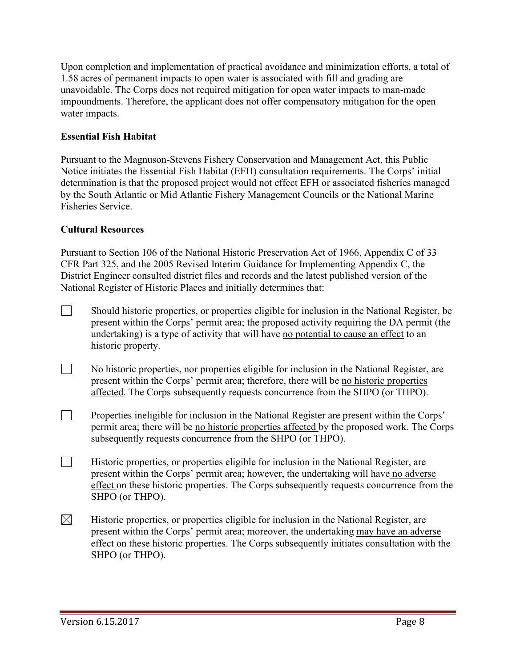Upon completion and implementation of practical avoidance and minimization efforts, a total of 1.58 acres of permanent impacts to open water is associated with fill and grading are unavoidable. The Corps does not required mitigation for open water impacts to man-made impoundments. Therefore, the applicant does not offer compensatory mitigation for the open water impacts.

## **Essential Fish Habitat**

Pursuant to the Magnuson-Stevens Fishery Conservation and Management Act, this Public Notice initiates the Essential Fish Habitat (EFH) consultation requirements. The Corps' initial determination is that the proposed project would not effect EFH or associated fisheries managed by the South Atlantic or Mid Atlantic Fishery Management Councils or the National Marine Fisheries Service.

#### **Cultural Resources**

Pursuant to Section 106 of the National Historic Preservation Act of 1966, Appendix C of 33 CFR Part 325, and the 2005 Revised Interim Guidance for Implementing Appendix C, the District Engineer consulted district files and records and the latest published version of the National Register of Historic Places and initially determines that:

- Should historic properties, or properties eligible for inclusion in the National Register, be present within the Corps' permit area; the proposed activity requiring the DA permit (the undertaking) is a type of activity that will have no potential to cause an effect to an historic property.
- $\Box$  No historic properties, nor properties eligible for inclusion in the National Register, are present within the Corps' permit area; therefore, there will be no historic properties affected. The Corps subsequently requests concurrence from the SHPO (or THPO).
- **Properties ineligible for inclusion in the National Register are present within the Corps'** permit area; there will be no historic properties affected by the proposed work. The Corps subsequently requests concurrence from the SHPO (or THPO).
- $\Box$ Historic properties, or properties eligible for inclusion in the National Register, are present within the Corps' permit area; however, the undertaking will have no adverse effect on these historic properties. The Corps subsequently requests concurrence from the SHPO (or THPO).
- $\boxtimes$  Historic properties, or properties eligible for inclusion in the National Register, are present within the Corps' permit area; moreover, the undertaking may have an adverse effect on these historic properties. The Corps subsequently initiates consultation with the SHPO (or THPO).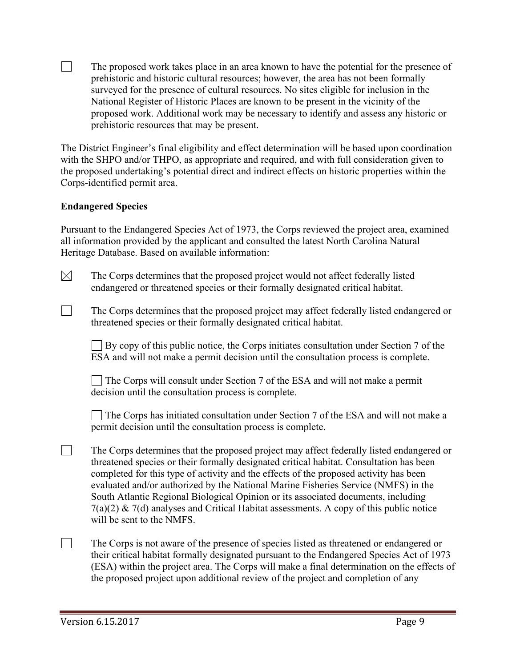$\Box$  The proposed work takes place in an area known to have the potential for the presence of prehistoric and historic cultural resources; however, the area has not been formally surveyed for the presence of cultural resources. No sites eligible for inclusion in the National Register of Historic Places are known to be present in the vicinity of the proposed work. Additional work may be necessary to identify and assess any historic or prehistoric resources that may be present.

The District Engineer's final eligibility and effect determination will be based upon coordination with the SHPO and/or THPO, as appropriate and required, and with full consideration given to the proposed undertaking's potential direct and indirect effects on historic properties within the Corps-identified permit area.

# **Endangered Species**

Pursuant to the Endangered Species Act of 1973, the Corps reviewed the project area, examined all information provided by the applicant and consulted the latest North Carolina Natural Heritage Database. Based on available information:

 $\boxtimes$  The Corps determines that the proposed project would not affect federally listed endangered or threatened species or their formally designated critical habitat.

 $\Box$  The Corps determines that the proposed project may affect federally listed endangered or threatened species or their formally designated critical habitat.

 $\Box$  By copy of this public notice, the Corps initiates consultation under Section 7 of the ESA and will not make a permit decision until the consultation process is complete.

 The Corps will consult under Section 7 of the ESA and will not make a permit decision until the consultation process is complete.

 $\Box$  The Corps has initiated consultation under Section 7 of the ESA and will not make a permit decision until the consultation process is complete.

- $\Box$  The Corps determines that the proposed project may affect federally listed endangered or threatened species or their formally designated critical habitat. Consultation has been completed for this type of activity and the effects of the proposed activity has been evaluated and/or authorized by the National Marine Fisheries Service (NMFS) in the South Atlantic Regional Biological Opinion or its associated documents, including  $7(a)(2)$  &  $7(d)$  analyses and Critical Habitat assessments. A copy of this public notice will be sent to the NMFS.
- $\Box$  The Corps is not aware of the presence of species listed as threatened or endangered or their critical habitat formally designated pursuant to the Endangered Species Act of 1973 (ESA) within the project area. The Corps will make a final determination on the effects of the proposed project upon additional review of the project and completion of any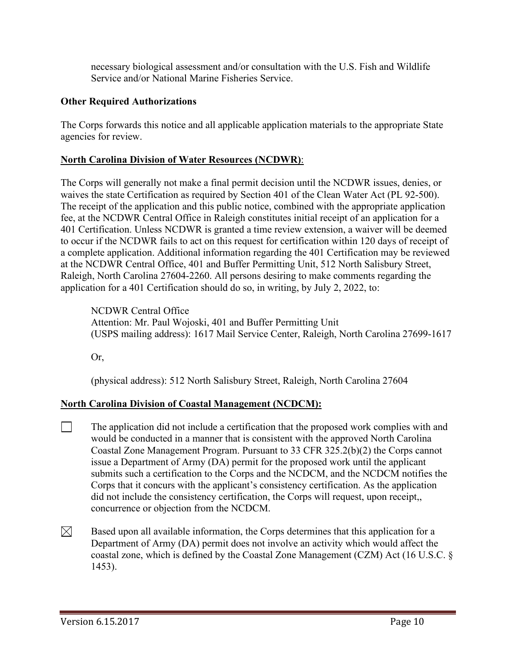necessary biological assessment and/or consultation with the U.S. Fish and Wildlife Service and/or National Marine Fisheries Service.

## **Other Required Authorizations**

The Corps forwards this notice and all applicable application materials to the appropriate State agencies for review.

## **North Carolina Division of Water Resources (NCDWR)**:

The Corps will generally not make a final permit decision until the NCDWR issues, denies, or waives the state Certification as required by Section 401 of the Clean Water Act (PL 92-500). The receipt of the application and this public notice, combined with the appropriate application fee, at the NCDWR Central Office in Raleigh constitutes initial receipt of an application for a 401 Certification. Unless NCDWR is granted a time review extension, a waiver will be deemed to occur if the NCDWR fails to act on this request for certification within 120 days of receipt of a complete application. Additional information regarding the 401 Certification may be reviewed at the NCDWR Central Office, 401 and Buffer Permitting Unit, 512 North Salisbury Street, Raleigh, North Carolina 27604-2260. All persons desiring to make comments regarding the application for a 401 Certification should do so, in writing, by July 2, 2022, to:

NCDWR Central Office Attention: Mr. Paul Wojoski, 401 and Buffer Permitting Unit (USPS mailing address): 1617 Mail Service Center, Raleigh, North Carolina 27699-1617

Or,

(physical address): 512 North Salisbury Street, Raleigh, North Carolina 27604

# **North Carolina Division of Coastal Management (NCDCM):**

- $\Box$  The application did not include a certification that the proposed work complies with and would be conducted in a manner that is consistent with the approved North Carolina Coastal Zone Management Program. Pursuant to 33 CFR 325.2(b)(2) the Corps cannot issue a Department of Army (DA) permit for the proposed work until the applicant submits such a certification to the Corps and the NCDCM, and the NCDCM notifies the Corps that it concurs with the applicant's consistency certification. As the application did not include the consistency certification, the Corps will request, upon receipt,, concurrence or objection from the NCDCM.
- $\boxtimes$ Based upon all available information, the Corps determines that this application for a Department of Army (DA) permit does not involve an activity which would affect the coastal zone, which is defined by the Coastal Zone Management (CZM) Act (16 U.S.C. § 1453).